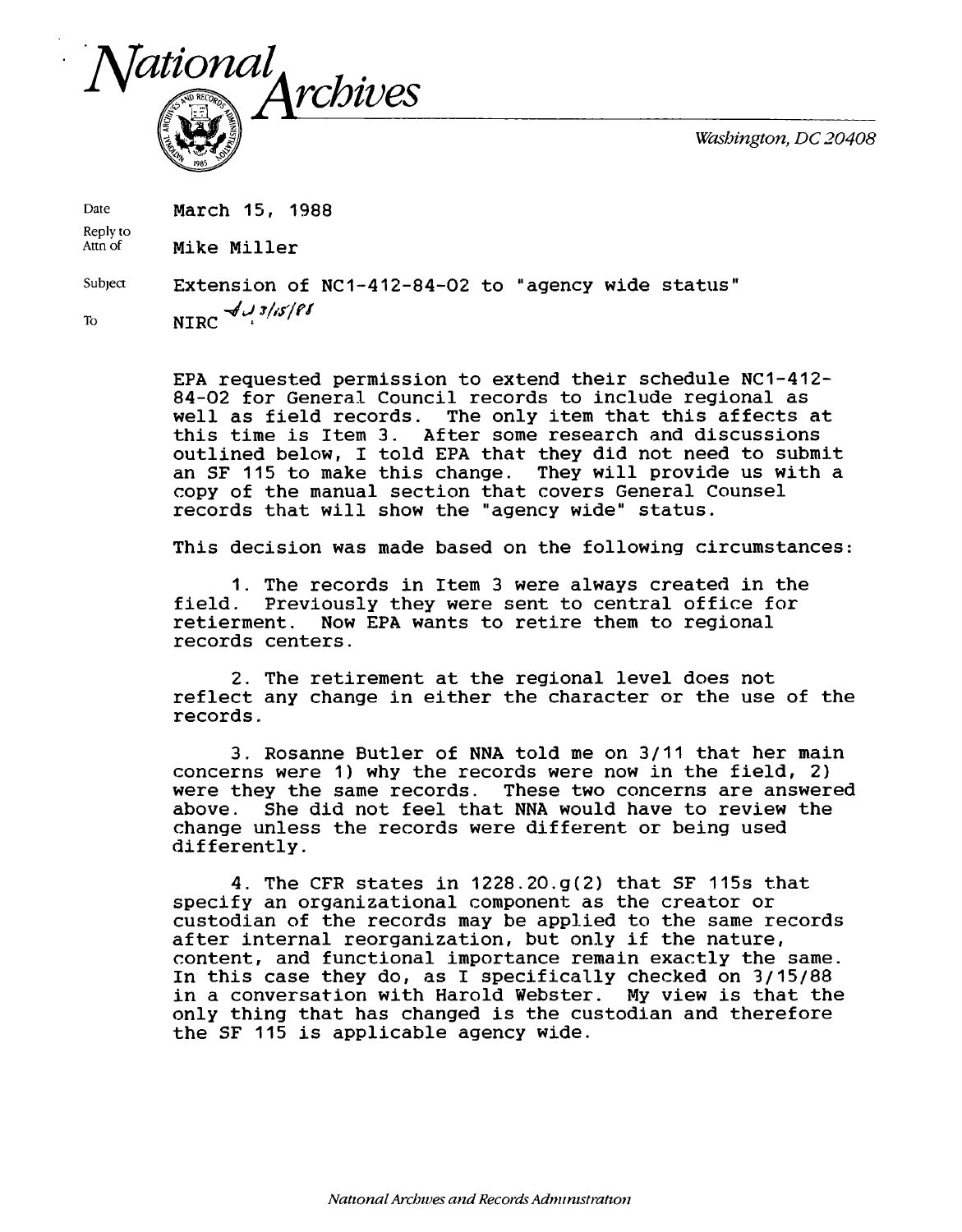*Washington, DC 20408*



Date **March 15, 1988** 

Reply to<br>Attn of Mike Miller

Subject Extension of NC1-412-84-02 to "agency wide status" To **NIRC**  $\frac{1}{2}$ /*Is/PI* 

> EPA requested permission to extend their schedule NC1-412- 84-02 for General Council records to include regional as<br>well as field records. The only item that this affects The only item that this affects at this time is Item 3. After some research and discussions outlined below, I told EPA that they did not need to submit an SF 115 to make this change. They will provide us with a copy of the manual section that covers General Counsel records that will show the "agency wide" status.

This decision was made based on the following circumstances:

1. The records in Item 3 were always created in the field. Previously they were sent to central office for<br>retierment. Now EPA wants to retire them to regional Now EPA wants to retire them to regional records centers.

2. The retirement at the regional level does not reflect any change in either the character or the use of the records.

3. Rosanne Butler of NNA told me on 3/11 that her main concerns were 1) why the records were now in the field, 2) were they the same records. These two concerns are answered above. She did not feel that NNA would have to review the change unless the records were different or being used differently.

4. The CFR states in 1228.20.g(2) that SF 115s that specify an organizational component as the creator or custodian of the records may be applied to the same records after internal reorganization, but only if the nature, content, and functional importance remain exactly the same. In this case they do, as I specifically checked on 3/15/88 in a conversation with Harold Webster. My view is that the only thing that has changed is the custodian and therefore the SF 115 is applicable agency wide.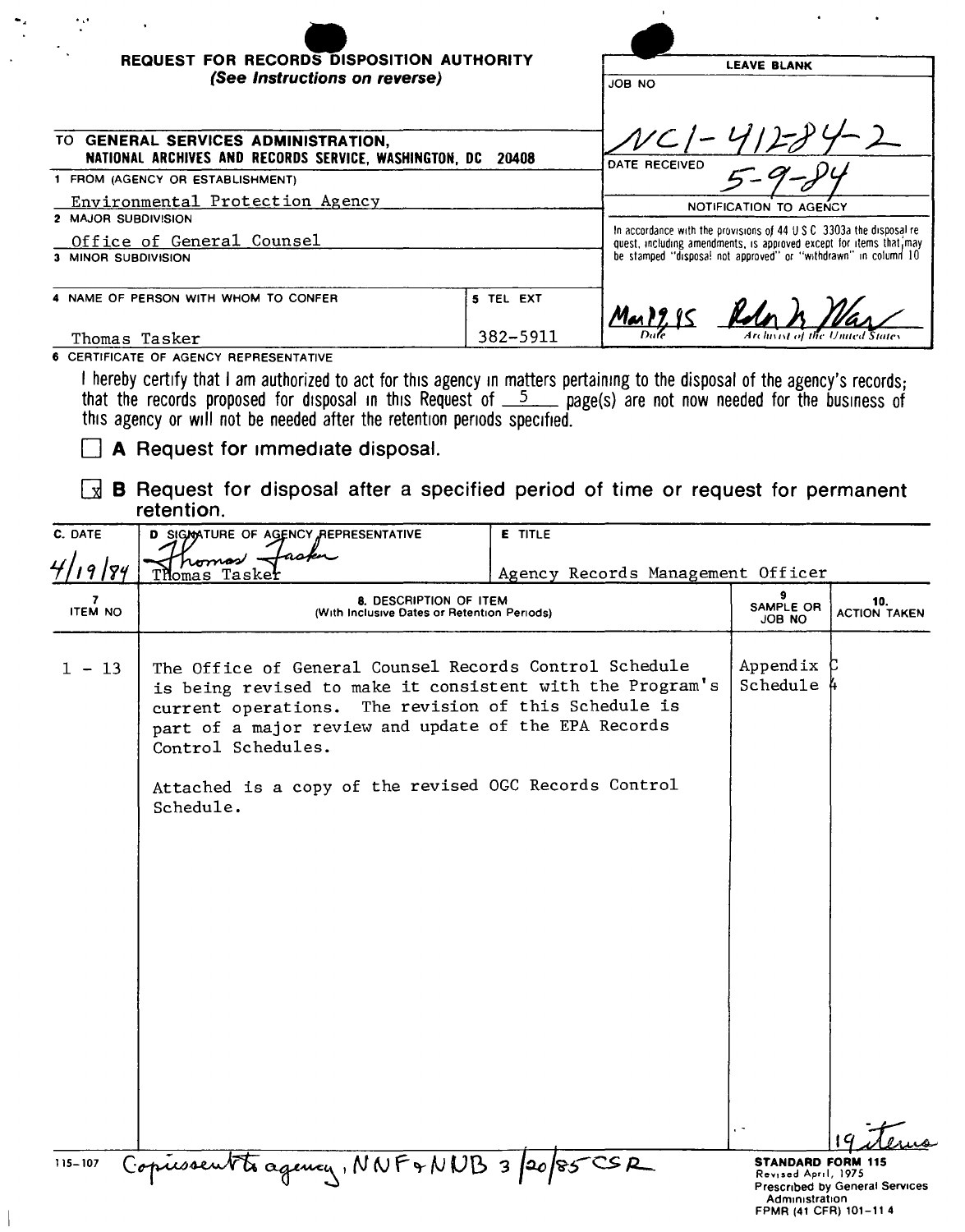| $\ddotsc$<br><b>REQUEST FOR RECORDS DISPOSITION AUTHORITY</b>                                      |           |                                                                                                                                             |  |  |
|----------------------------------------------------------------------------------------------------|-----------|---------------------------------------------------------------------------------------------------------------------------------------------|--|--|
| (See Instructions on reverse)                                                                      |           | <b>LEAVE BLANK</b>                                                                                                                          |  |  |
|                                                                                                    |           | JOB NO                                                                                                                                      |  |  |
| TO GENERAL SERVICES ADMINISTRATION.<br>NATIONAL ARCHIVES AND RECORDS SERVICE, WASHINGTON, DC 20408 |           | DATE RECEIVED                                                                                                                               |  |  |
| 1 FROM (AGENCY OR ESTABLISHMENT)                                                                   |           |                                                                                                                                             |  |  |
| Environmental Protection Agency                                                                    |           | NOTIFICATION TO AGENCY                                                                                                                      |  |  |
| 2 MAJOR SUBDIVISION                                                                                |           |                                                                                                                                             |  |  |
| Office of General Counsel                                                                          |           | In accordance with the provisions of 44 U.S.C. 3303a the disposal re-<br>quest, including amendments, is approved except for items that may |  |  |
| 3 MINOR SUBDIVISION                                                                                |           | be stamped "disposal not approved" or "withdrawn" in column 10                                                                              |  |  |
| 4 NAME OF PERSON WITH WHOM TO CONFER                                                               | 5 TEL EXT |                                                                                                                                             |  |  |
| Thomas Tasker                                                                                      | 382-5911  | Archivist of the United States                                                                                                              |  |  |

6 CERTIFICATE OF AGENCY REPRESENTATIVE

I hereby certify that I am authorized to act for this agency in matters pertaining to the disposal of the agency's records;<br>that the records proposed for disposal in this Request of  $\frac{5}{2}$  page(s) are not now needed fo

A Request for immediate disposal.

B Request for disposal after a specified period of time or request for permanent retention.

| C. DATE             | D SIGMATURE OF AGENCY REPRESENTATIVE                                                                                                                                                                                     | <b>E</b> TITLE                    |                                                                                             |                                |
|---------------------|--------------------------------------------------------------------------------------------------------------------------------------------------------------------------------------------------------------------------|-----------------------------------|---------------------------------------------------------------------------------------------|--------------------------------|
| 4/19/84             | romas .<br>Thomas Taskei                                                                                                                                                                                                 | Agency Records Management Officer |                                                                                             |                                |
| 7<br><b>ITEM NO</b> | 8. DESCRIPTION OF ITEM<br>(With Inclusive Dates or Retention Periods)                                                                                                                                                    |                                   | 9<br>SAMPLE OR<br><b>JOB NO</b>                                                             | 10.<br><b>ACTION TAKEN</b>     |
| $1 - 13$            | The Office of General Counsel Records Control Schedule<br>is being revised to make it consistent with the Program's<br>current operations.<br>part of a major review and update of the EPA Records<br>Control Schedules. | The revision of this Schedule is  | Appendix<br>Schedule $\mu$                                                                  |                                |
|                     | Attached is a copy of the revised OGC Records Control<br>Schedule.                                                                                                                                                       |                                   |                                                                                             |                                |
|                     |                                                                                                                                                                                                                          |                                   |                                                                                             |                                |
|                     |                                                                                                                                                                                                                          |                                   |                                                                                             |                                |
| 115-107             | Copiessentte agency, NNF+NNB 3/20/85CSR                                                                                                                                                                                  |                                   | <b>STANDARD FORM 115</b><br>Revised April, 1975<br>Administration<br>FPMR (41 CFR) 101-11 4 | Prescribed by General Services |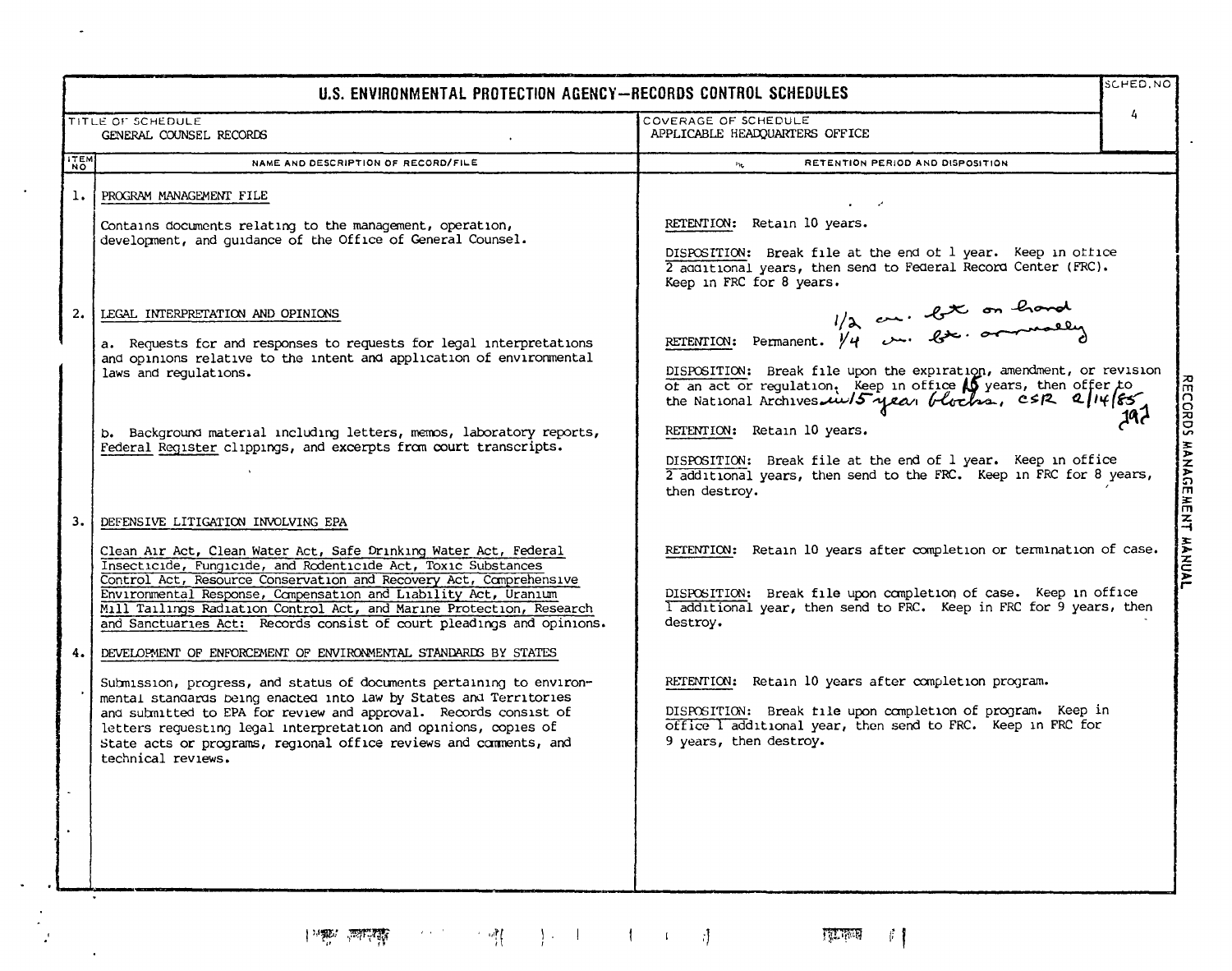| U.S. ENVIRONMENTAL PROTECTION AGENCY-RECORDS CONTROL SCHEDULES                                         |                                                                                                                                                                                                                                                                                                                                                                                                                                                |                                                                                                                                                                                                                                                                                                                               | SCHED, NO          |
|--------------------------------------------------------------------------------------------------------|------------------------------------------------------------------------------------------------------------------------------------------------------------------------------------------------------------------------------------------------------------------------------------------------------------------------------------------------------------------------------------------------------------------------------------------------|-------------------------------------------------------------------------------------------------------------------------------------------------------------------------------------------------------------------------------------------------------------------------------------------------------------------------------|--------------------|
| COVERAGE OF SCHEDULE<br>TITLE OF SCHEDULE<br>APPLICABLE HEADQUARTERS OFFICE<br>GENERAL COUNSEL RECORDS |                                                                                                                                                                                                                                                                                                                                                                                                                                                |                                                                                                                                                                                                                                                                                                                               |                    |
| ITEM                                                                                                   | NAME AND DESCRIPTION OF RECORD/FILE                                                                                                                                                                                                                                                                                                                                                                                                            | RETENTION PERIOD AND DISPOSITION<br>$\mathcal{V}^1$                                                                                                                                                                                                                                                                           |                    |
| ı.                                                                                                     | PROGRAM MANAGEMENT FILE<br>Contains documents relating to the management, operation,<br>development, and guidance of the Office of General Counsel.                                                                                                                                                                                                                                                                                            | RETENTION: Retain 10 years.<br>DISPOSITION: Break file at the end of 1 year. Keep in office<br>2 additional years, then send to Federal Record Center (FRC).<br>Keep in FRC for 8 years.                                                                                                                                      |                    |
| 2.                                                                                                     | LEGAL INTERPRETATION AND OPINIONS<br>a. Requests for and responses to requests for legal interpretations<br>and opinions relative to the intent and application of environmental<br>laws and regulations.<br>b. Background material including letters, memos, laboratory reports,<br>Federal Register clippings, and excerpts from court transcripts.                                                                                          | $1/x$ and $2x$ on hand<br>DISPOSITION: Break file upon the expiration, amendment, or revision<br>of an act or regulation. Keep in office 15 years, then offer to<br>the National Archives $\mu\nu$ /5 year blocks, csR 2/14/85<br>RETENTION: Retain 10 years.<br>DISPOSITION: Break file at the end of 1 year. Keep in office | RECORDS MANAGEMENT |
| з.                                                                                                     | DEFENSIVE LITIGATION INVOLVING EPA                                                                                                                                                                                                                                                                                                                                                                                                             | 2 additional years, then send to the FRC. Keep in FRC for 8 years,<br>then destroy.                                                                                                                                                                                                                                           |                    |
|                                                                                                        | Clean Air Act, Clean Water Act, Safe Drinking Water Act, Federal<br>Insecticide, Fungicide, and Rodenticide Act, Toxic Substances<br>Control Act, Resource Conservation and Recovery Act, Comprehensive<br>Environmental Response, Compensation and Liability Act, Uranium<br>Mill Tailings Radiation Control Act, and Marine Protection, Research<br>and Sanctuaries Act: Records consist of court pleadings and opinions.                    | RETENTION: Retain 10 years after completion or termination of case.<br>DISPOSITION: Break file upon completion of case. Keep in office<br>I additional year, then send to FRC. Keep in FRC for 9 years, then<br>destroy.                                                                                                      | <b>HANNAL</b>      |
| 4.                                                                                                     | DEVELOPMENT OF ENFORCEMENT OF ENVIRONMENTAL STANDARDS BY STATES<br>Submission, progress, and status of documents pertaining to environ-<br>mental standards being enacted into law by States and Territories<br>and submitted to EPA for review and approval. Records consist of<br>letters requesting legal interpretation and opinions, copies of<br>State acts or programs, regional office reviews and comments, and<br>technical reviews. | RETENTION: Retain 10 years after completion program.<br>DISPOSITION: Break file upon completion of program. Keep in<br>office I additional year, then send to FRC. Keep in FRC for<br>9 years, then destroy.                                                                                                                  |                    |
|                                                                                                        |                                                                                                                                                                                                                                                                                                                                                                                                                                                |                                                                                                                                                                                                                                                                                                                               |                    |

 $\omega$ 

 $\sim$   $\sim$ 

 $\ddot{\phantom{a}}$ 

 $\mathcal{L}$ 

 $\mathcal{L}^{\text{max}}_{\text{max}}$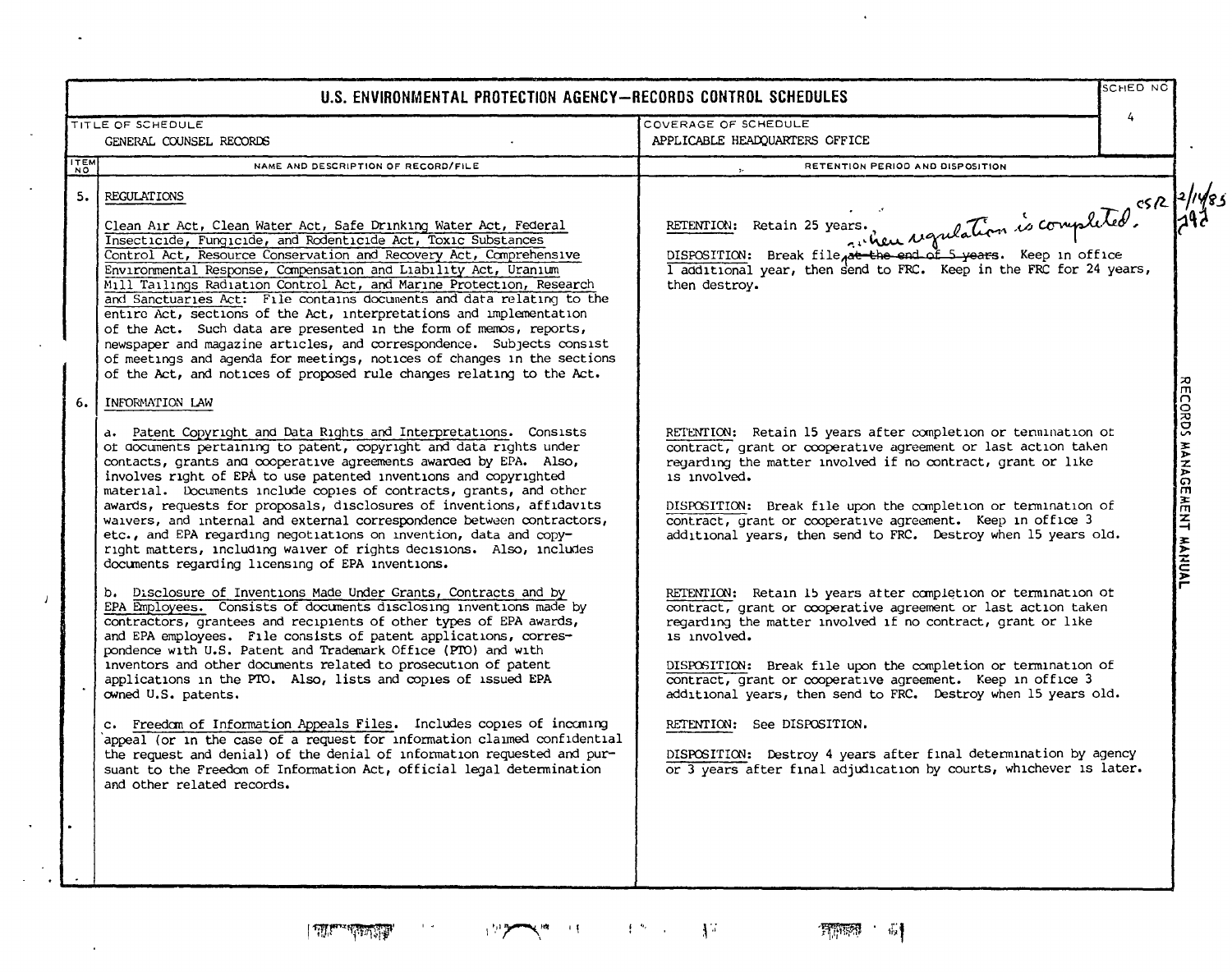|                          | U.S. ENVIRONMENTAL PROTECTION AGENCY-RECORDS CONTROL SCHEDULES                                                                                                                                                                                                                                                                                                                                                                                                                                                                                                                                                                                                                                                                            |                                                                                                                                                                                                                                                                                                                                                                                                                                                                                                                   | <b>SCHED NO</b> |
|--------------------------|-------------------------------------------------------------------------------------------------------------------------------------------------------------------------------------------------------------------------------------------------------------------------------------------------------------------------------------------------------------------------------------------------------------------------------------------------------------------------------------------------------------------------------------------------------------------------------------------------------------------------------------------------------------------------------------------------------------------------------------------|-------------------------------------------------------------------------------------------------------------------------------------------------------------------------------------------------------------------------------------------------------------------------------------------------------------------------------------------------------------------------------------------------------------------------------------------------------------------------------------------------------------------|-----------------|
|                          | TITLE OF SCHEDULE<br>GENERAL COUNSEL RECORDS                                                                                                                                                                                                                                                                                                                                                                                                                                                                                                                                                                                                                                                                                              | COVERAGE OF SCHEDULE<br>APPLICABLE HEADQUARTERS OFFICE                                                                                                                                                                                                                                                                                                                                                                                                                                                            | 4               |
| <b>ITEM</b><br><b>NO</b> | NAME AND DESCRIPTION OF RECORD/FILE                                                                                                                                                                                                                                                                                                                                                                                                                                                                                                                                                                                                                                                                                                       | RETENTION PERIOD AND DISPOSITION                                                                                                                                                                                                                                                                                                                                                                                                                                                                                  |                 |
| 5. I                     | REGULATIONS<br>Clean Air Act, Clean Water Act, Safe Drinking Water Act, Federal<br>Insecticide, Fungicide, and Rodenticide Act, Toxic Substances<br>Control Act, Resource Conservation and Recovery Act, Comprehensive<br>Environmental Response, Compensation and Liability Act, Uranium<br>Mill Tailings Radiation Control Act, and Marine Protection, Research<br>and Sanctuaries Act: File contains documents and data relating to the                                                                                                                                                                                                                                                                                                | OISPOSITION: Break file pat the end of 5 years. Keep in office 149785                                                                                                                                                                                                                                                                                                                                                                                                                                             |                 |
|                          | entire Act, sections of the Act, interpretations and implementation<br>of the Act. Such data are presented in the form of memos, reports,<br>newspaper and magazine articles, and correspondence. Subjects consist<br>of meetings and agenda for meetings, notices of changes in the sections<br>of the Act, and notices of proposed rule changes relating to the Act.                                                                                                                                                                                                                                                                                                                                                                    |                                                                                                                                                                                                                                                                                                                                                                                                                                                                                                                   |                 |
| 6.                       | INFORMATION LAW<br>a. Patent Copyright and Data Rights and Interpretations. Consists<br>ot documents pertaining to patent, copyright and data rights under<br>contacts, grants and cooperative agreements awarded by EPA. Also,<br>involves right of EPA to use patented inventions and copyrighted<br>material. Documents include copies of contracts, grants, and other<br>awards, requests for proposals, disclosures of inventions, affidavits<br>waivers, and internal and external correspondence between contractors,<br>etc., and EPA regarding negotiations on invention, data and copy-<br>right matters, including waiver of rights decisions. Also, includes<br>documents regarding licensing of EPA inventions.              | RETENTION: Retain 15 years after completion or termination of<br>contract, grant or cooperative agreement or last action taken<br>regarding the matter involved if no contract, grant or like<br>is involved.<br>DISPOSITION: Break file upon the completion or termination of<br>contract, grant or cooperative agreement. Keep in office 3<br>additional years, then send to FRC. Destroy when 15 years old.                                                                                                    |                 |
|                          | b. Disclosure of Inventions Made Under Grants, Contracts and by<br>EPA Employees. Consists of documents disclosing inventions made by<br>contractors, grantees and recipients of other types of EPA awards,<br>and EPA employees. File consists of patent applications, corres-<br>pondence with U.S. Patent and Trademark Office (PTO) and with<br>inventors and other documents related to prosecution of patent<br>applications in the PTO. Also, lists and copies of issued EPA<br>owned U.S. patents.<br>c. Freedom of Information Appeals Files. Includes copies of incoming<br>appeal (or in the case of a request for information claimed confidential<br>the request and denial) of the denial of information requested and pur- | RETENTION: Retain 15 years atter completion or termination of<br>contract, grant or cooperative agreement or last action taken<br>regarding the matter involved if no contract, grant or like<br>is involved.<br>DISPOSITION: Break file upon the completion or termination of<br>contract, grant or cooperative agreement. Keep in office 3<br>additional years, then send to FRC. Destroy when 15 years old.<br>RETENTION: See DISPOSITION.<br>DISPOSITION: Destroy 4 years after final determination by agency |                 |
|                          | suant to the Freedom of Information Act, official legal determination<br>and other related records.                                                                                                                                                                                                                                                                                                                                                                                                                                                                                                                                                                                                                                       | or 3 years after final adjudication by courts, whichever is later.                                                                                                                                                                                                                                                                                                                                                                                                                                                |                 |

 $\|T\|_{L^{\infty}(\mathbb{R}^n)}\leq \|\nabla T\|_{L^{\infty}(\mathbb{R}^n)}$ 

 $\mathcal{F}(\mathcal{S})$ 

 $\Box$ 

 $\ddot{\phantom{a}}$ 

 $\sim$ 

 $\bar{\mathcal{A}}$ 

 $\boldsymbol{I}$ 

 $\langle \cdot \rangle$ 

 $\frac{1}{2}$  ,  $\frac{1}{2}$ 

 $\bullet$ 

**CONTACT OF STATE AND** 

**These** a

 $\sim 10^{-10}$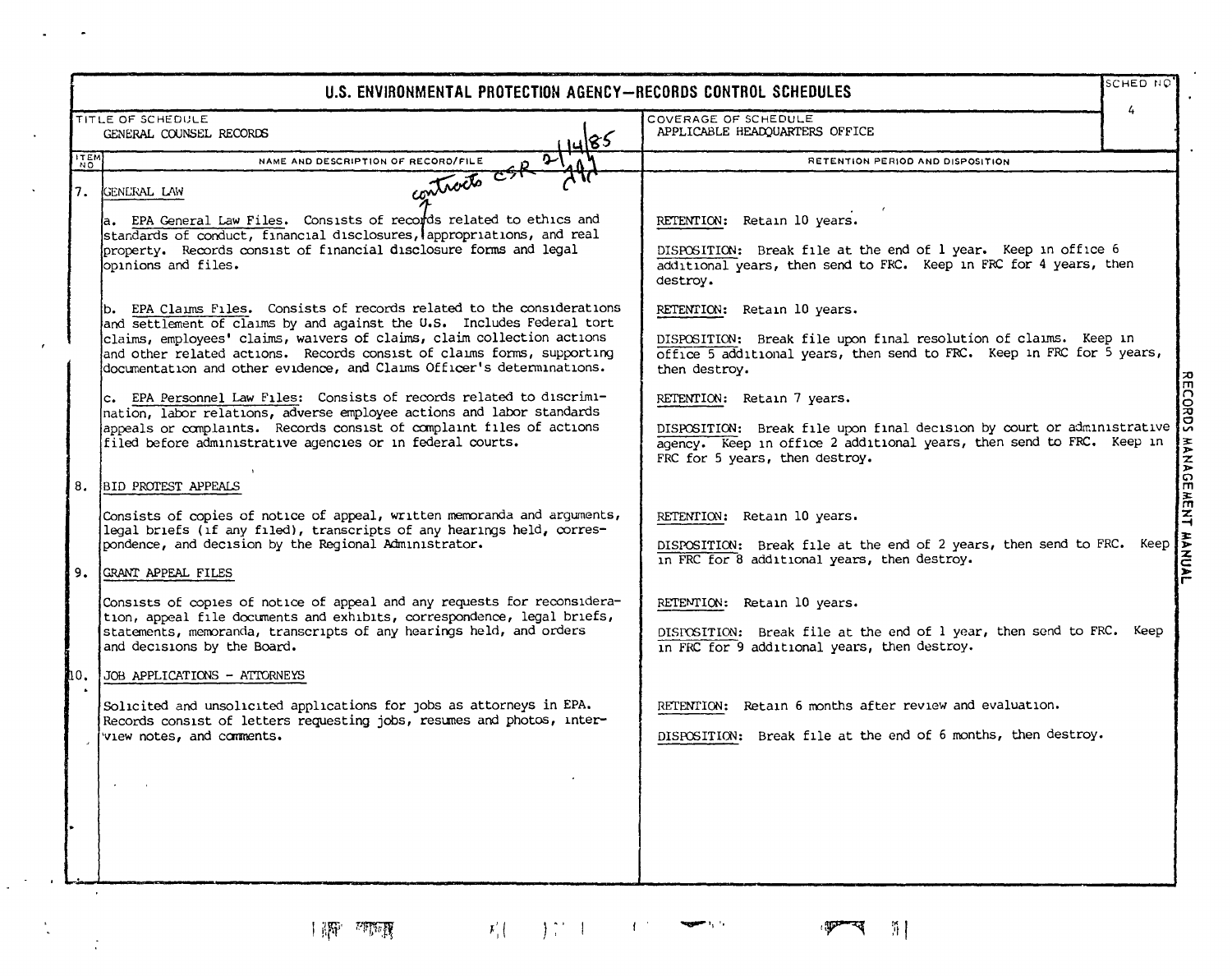|                    | U.S. ENVIRONMENTAL PROTECTION AGENCY-RECORDS CONTROL SCHEDULES                                                                                                                                                                                                                                                                                                                 | SCHED NO                                                                                                                                                                                                       |      |
|--------------------|--------------------------------------------------------------------------------------------------------------------------------------------------------------------------------------------------------------------------------------------------------------------------------------------------------------------------------------------------------------------------------|----------------------------------------------------------------------------------------------------------------------------------------------------------------------------------------------------------------|------|
|                    | TITLE OF SCHEDULE<br>GENERAL COUNSEL RECORDS<br>4485                                                                                                                                                                                                                                                                                                                           | 4<br>COVERAGE OF SCHEDULE<br>APPLICABLE HEADQUARTERS OFFICE                                                                                                                                                    |      |
| <b>ITEM</b><br>NO. | NAME AND DESCRIPTION OF RECORD/FILE                                                                                                                                                                                                                                                                                                                                            | RETENTION PERIOD AND DISPOSITION                                                                                                                                                                               |      |
| 17.                | contracts cap 21<br><b>GENERAL LAW</b><br>a. EPA General Law Files. Consists of records related to ethics and<br>standards of conduct, financial disclosures, appropriations, and real<br>property. Records consist of financial disclosure forms and legal<br>opinions and files.                                                                                             | RETENTION: Retain 10 years.<br>DISPOSITION: Break file at the end of 1 year. Keep in office 6<br>additional years, then send to FRC. Keep in FRC for 4 years, then<br>destroy.                                 |      |
|                    | b. EPA Claims Files. Consists of records related to the considerations<br>and settlement of claims by and against the U.S. Includes Federal tort<br>claims, employees' claims, waivers of claims, claim collection actions<br>and other related actions. Records consist of claims forms, supporting<br>documentation and other evidence, and Claims Officer's determinations. | RETENTION: Retain 10 years.<br>DISPOSITION: Break file upon final resolution of claims. Keep in<br>office 5 additional years, then send to FRC. Keep in FRC for 5 years,<br>then destroy.                      |      |
|                    | c. EPA Personnel Law Files: Consists of records related to discrimi-<br>nation, labor relations, adverse employee actions and labor standards<br>appeals or complaints. Records consist of complaint files of actions<br>filed before administrative agencies or in federal courts.                                                                                            | RETENTION: Retain 7 years.<br>DISPOSITION: Break file upon final decision by court or administrative<br>agency. Keep in office 2 additional years, then send to FRC. Keep in<br>FRC for 5 years, then destroy. |      |
|                    | 8. BID PROTEST APPEALS                                                                                                                                                                                                                                                                                                                                                         |                                                                                                                                                                                                                |      |
|                    | Consists of copies of notice of appeal, written memoranda and arguments,<br>legal briefs (if any filed), transcripts of any hearings held, corres-<br>pondence, and decision by the Regional Administrator.<br>9. GRANT APPEAL FILES                                                                                                                                           | RETENTION: Retain 10 years.<br>DISPOSITION: Break file at the end of 2 years, then send to FRC. Keep<br>in FRC for 8 additional years, then destroy.                                                           |      |
|                    | Consists of copies of notice of appeal and any requests for reconsidera-<br>tion, appeal file documents and exhibits, correspondence, legal briefs,<br>statements, memoranda, transcripts of any hearings held, and orders<br>and decisions by the Board.                                                                                                                      | RETEMTION: Retain 10 years.<br>DISPOSITION: Break file at the end of 1 year, then send to FRC.<br>in FRC for 9 additional years, then destroy.                                                                 | Кеер |
| ШΟ.                | JOB APPLICATIONS - ATTORNEYS                                                                                                                                                                                                                                                                                                                                                   |                                                                                                                                                                                                                |      |
|                    | Solicited and unsolicited applications for jobs as attorneys in EPA.<br>Records consist of letters requesting jobs, resumes and photos, inter-<br>view notes, and comments.                                                                                                                                                                                                    | RETENTION: Retain 6 months after review and evaluation.<br>DISPOSITION: Break file at the end of 6 months, then destroy.                                                                                       |      |
|                    |                                                                                                                                                                                                                                                                                                                                                                                |                                                                                                                                                                                                                |      |

**TIP STER** 

 $\mathbf{a}^{\prime}$  and  $\mathbf{a}^{\prime}$ 

 $\langle \hat{z} \rangle$ 

 $\mathcal{F}'_1\Big(\begin{array}{cc} \hspace{0.2cm} & \hspace{0.2cm} \\ \hspace{0.2cm} \end{array}\Big) \begin{array}{c} \hspace{0.2cm} \uparrow \hspace{0.2cm} \uparrow \hspace{0.2cm} \end{array} \begin{array}{c} \hspace{0.2cm} \downarrow \hspace{0.2cm} \uparrow \hspace{0.2cm} \end{array} \begin{array}{c} \hspace{0.2cm} \longrightarrow \hspace{0.2cm} \\ \hspace{0.2cm} \end{array} \begin{array}{c} \hspace{0.2cm} \longrightarrow \hspace{0.2cm} \\ \hspace{0.2$